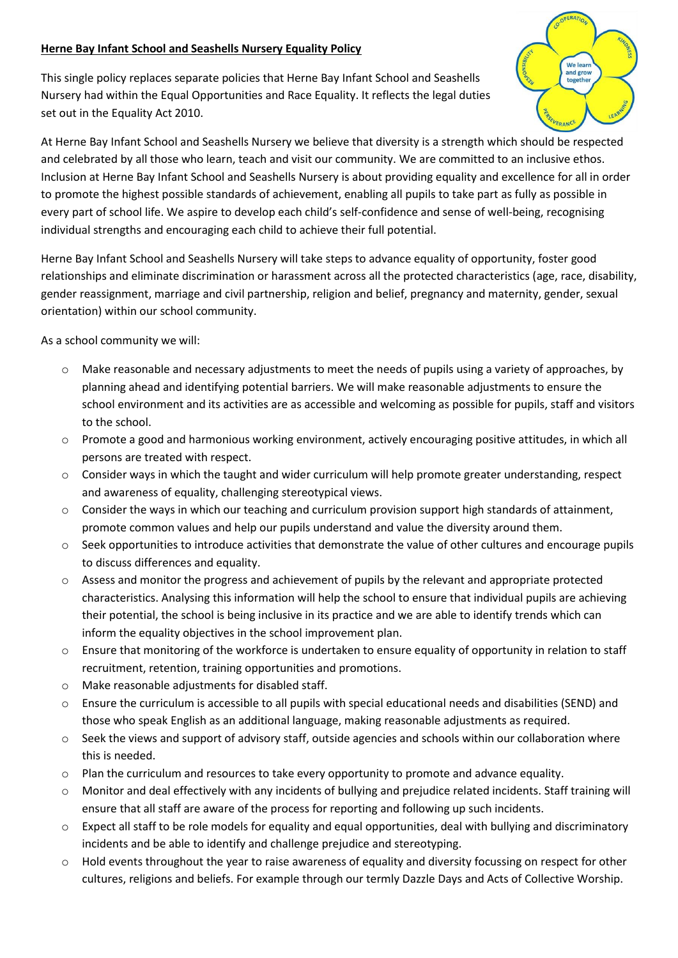### **Herne Bay Infant School and Seashells Nursery Equality Policy**

This single policy replaces separate policies that Herne Bay Infant School and Seashells Nursery had within the Equal Opportunities and Race Equality. It reflects the legal duties set out in the Equality Act 2010.



At Herne Bay Infant School and Seashells Nursery we believe that diversity is a strength which should be respected and celebrated by all those who learn, teach and visit our community. We are committed to an inclusive ethos. Inclusion at Herne Bay Infant School and Seashells Nursery is about providing equality and excellence for all in order to promote the highest possible standards of achievement, enabling all pupils to take part as fully as possible in every part of school life. We aspire to develop each child's self-confidence and sense of well-being, recognising individual strengths and encouraging each child to achieve their full potential.

Herne Bay Infant School and Seashells Nursery will take steps to advance equality of opportunity, foster good relationships and eliminate discrimination or harassment across all the protected characteristics (age, race, disability, gender reassignment, marriage and civil partnership, religion and belief, pregnancy and maternity, gender, sexual orientation) within our school community.

As a school community we will:

- $\circ$  Make reasonable and necessary adjustments to meet the needs of pupils using a variety of approaches, by planning ahead and identifying potential barriers. We will make reasonable adjustments to ensure the school environment and its activities are as accessible and welcoming as possible for pupils, staff and visitors to the school.
- o Promote a good and harmonious working environment, actively encouraging positive attitudes, in which all persons are treated with respect.
- $\circ$  Consider ways in which the taught and wider curriculum will help promote greater understanding, respect and awareness of equality, challenging stereotypical views.
- $\circ$  Consider the ways in which our teaching and curriculum provision support high standards of attainment, promote common values and help our pupils understand and value the diversity around them.
- o Seek opportunities to introduce activities that demonstrate the value of other cultures and encourage pupils to discuss differences and equality.
- $\circ$  Assess and monitor the progress and achievement of pupils by the relevant and appropriate protected characteristics. Analysing this information will help the school to ensure that individual pupils are achieving their potential, the school is being inclusive in its practice and we are able to identify trends which can inform the equality objectives in the school improvement plan.
- o Ensure that monitoring of the workforce is undertaken to ensure equality of opportunity in relation to staff recruitment, retention, training opportunities and promotions.
- o Make reasonable adjustments for disabled staff.
- o Ensure the curriculum is accessible to all pupils with special educational needs and disabilities (SEND) and those who speak English as an additional language, making reasonable adjustments as required.
- o Seek the views and support of advisory staff, outside agencies and schools within our collaboration where this is needed.
- o Plan the curriculum and resources to take every opportunity to promote and advance equality.
- o Monitor and deal effectively with any incidents of bullying and prejudice related incidents. Staff training will ensure that all staff are aware of the process for reporting and following up such incidents.
- $\circ$  Expect all staff to be role models for equality and equal opportunities, deal with bullying and discriminatory incidents and be able to identify and challenge prejudice and stereotyping.
- o Hold events throughout the year to raise awareness of equality and diversity focussing on respect for other cultures, religions and beliefs. For example through our termly Dazzle Days and Acts of Collective Worship.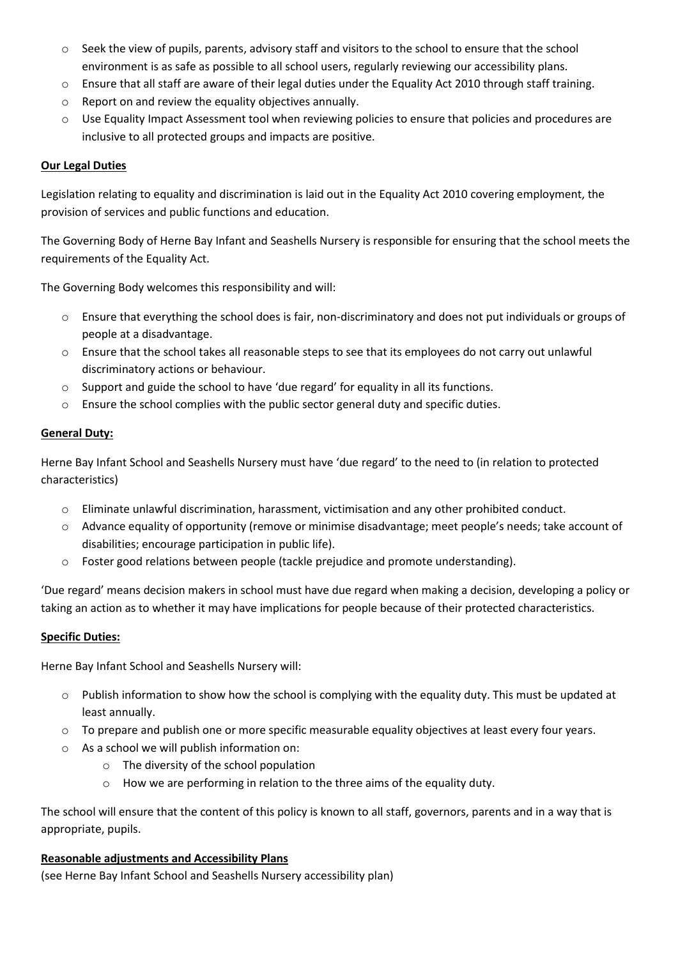- o Seek the view of pupils, parents, advisory staff and visitors to the school to ensure that the school environment is as safe as possible to all school users, regularly reviewing our accessibility plans.
- o Ensure that all staff are aware of their legal duties under the Equality Act 2010 through staff training.
- o Report on and review the equality objectives annually.
- o Use Equality Impact Assessment tool when reviewing policies to ensure that policies and procedures are inclusive to all protected groups and impacts are positive.

# **Our Legal Duties**

Legislation relating to equality and discrimination is laid out in the Equality Act 2010 covering employment, the provision of services and public functions and education.

The Governing Body of Herne Bay Infant and Seashells Nursery is responsible for ensuring that the school meets the requirements of the Equality Act.

The Governing Body welcomes this responsibility and will:

- o Ensure that everything the school does is fair, non-discriminatory and does not put individuals or groups of people at a disadvantage.
- o Ensure that the school takes all reasonable steps to see that its employees do not carry out unlawful discriminatory actions or behaviour.
- $\circ$  Support and guide the school to have 'due regard' for equality in all its functions.
- $\circ$  Ensure the school complies with the public sector general duty and specific duties.

# **General Duty:**

Herne Bay Infant School and Seashells Nursery must have 'due regard' to the need to (in relation to protected characteristics)

- o Eliminate unlawful discrimination, harassment, victimisation and any other prohibited conduct.
- o Advance equality of opportunity (remove or minimise disadvantage; meet people's needs; take account of disabilities; encourage participation in public life).
- o Foster good relations between people (tackle prejudice and promote understanding).

'Due regard' means decision makers in school must have due regard when making a decision, developing a policy or taking an action as to whether it may have implications for people because of their protected characteristics.

### **Specific Duties:**

Herne Bay Infant School and Seashells Nursery will:

- $\circ$  Publish information to show how the school is complying with the equality duty. This must be updated at least annually.
- o To prepare and publish one or more specific measurable equality objectives at least every four years.
- o As a school we will publish information on:
	- o The diversity of the school population
	- o How we are performing in relation to the three aims of the equality duty.

The school will ensure that the content of this policy is known to all staff, governors, parents and in a way that is appropriate, pupils.

### **Reasonable adjustments and Accessibility Plans**

(see Herne Bay Infant School and Seashells Nursery accessibility plan)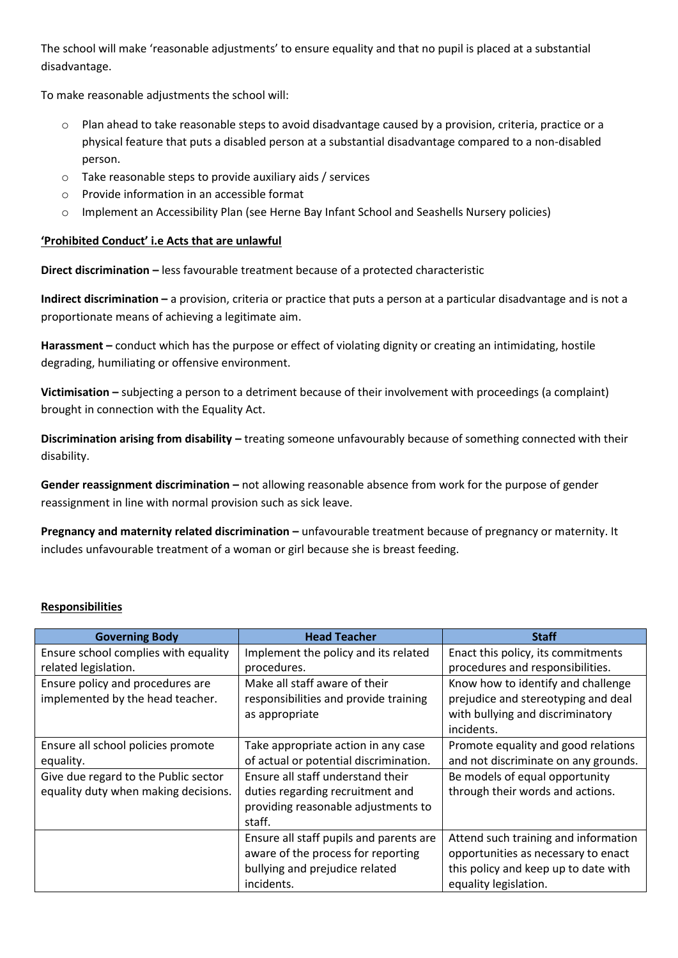The school will make 'reasonable adjustments' to ensure equality and that no pupil is placed at a substantial disadvantage.

To make reasonable adjustments the school will:

- o Plan ahead to take reasonable steps to avoid disadvantage caused by a provision, criteria, practice or a physical feature that puts a disabled person at a substantial disadvantage compared to a non-disabled person.
- o Take reasonable steps to provide auxiliary aids / services
- o Provide information in an accessible format
- o Implement an Accessibility Plan (see Herne Bay Infant School and Seashells Nursery policies)

### **'Prohibited Conduct' i.e Acts that are unlawful**

**Direct discrimination –** less favourable treatment because of a protected characteristic

**Indirect discrimination –** a provision, criteria or practice that puts a person at a particular disadvantage and is not a proportionate means of achieving a legitimate aim.

**Harassment –** conduct which has the purpose or effect of violating dignity or creating an intimidating, hostile degrading, humiliating or offensive environment.

**Victimisation –** subjecting a person to a detriment because of their involvement with proceedings (a complaint) brought in connection with the Equality Act.

**Discrimination arising from disability –** treating someone unfavourably because of something connected with their disability.

**Gender reassignment discrimination –** not allowing reasonable absence from work for the purpose of gender reassignment in line with normal provision such as sick leave.

**Pregnancy and maternity related discrimination –** unfavourable treatment because of pregnancy or maternity. It includes unfavourable treatment of a woman or girl because she is breast feeding.

### **Responsibilities**

| <b>Governing Body</b>                | <b>Head Teacher</b>                     | <b>Staff</b>                         |
|--------------------------------------|-----------------------------------------|--------------------------------------|
| Ensure school complies with equality | Implement the policy and its related    | Enact this policy, its commitments   |
| related legislation.                 | procedures.                             | procedures and responsibilities.     |
| Ensure policy and procedures are     | Make all staff aware of their           | Know how to identify and challenge   |
| implemented by the head teacher.     | responsibilities and provide training   | prejudice and stereotyping and deal  |
|                                      | as appropriate                          | with bullying and discriminatory     |
|                                      |                                         | incidents.                           |
| Ensure all school policies promote   | Take appropriate action in any case     | Promote equality and good relations  |
| equality.                            | of actual or potential discrimination.  | and not discriminate on any grounds. |
| Give due regard to the Public sector | Ensure all staff understand their       | Be models of equal opportunity       |
| equality duty when making decisions. | duties regarding recruitment and        | through their words and actions.     |
|                                      | providing reasonable adjustments to     |                                      |
|                                      | staff.                                  |                                      |
|                                      | Ensure all staff pupils and parents are | Attend such training and information |
|                                      | aware of the process for reporting      | opportunities as necessary to enact  |
|                                      | bullying and prejudice related          | this policy and keep up to date with |
|                                      | incidents.                              | equality legislation.                |